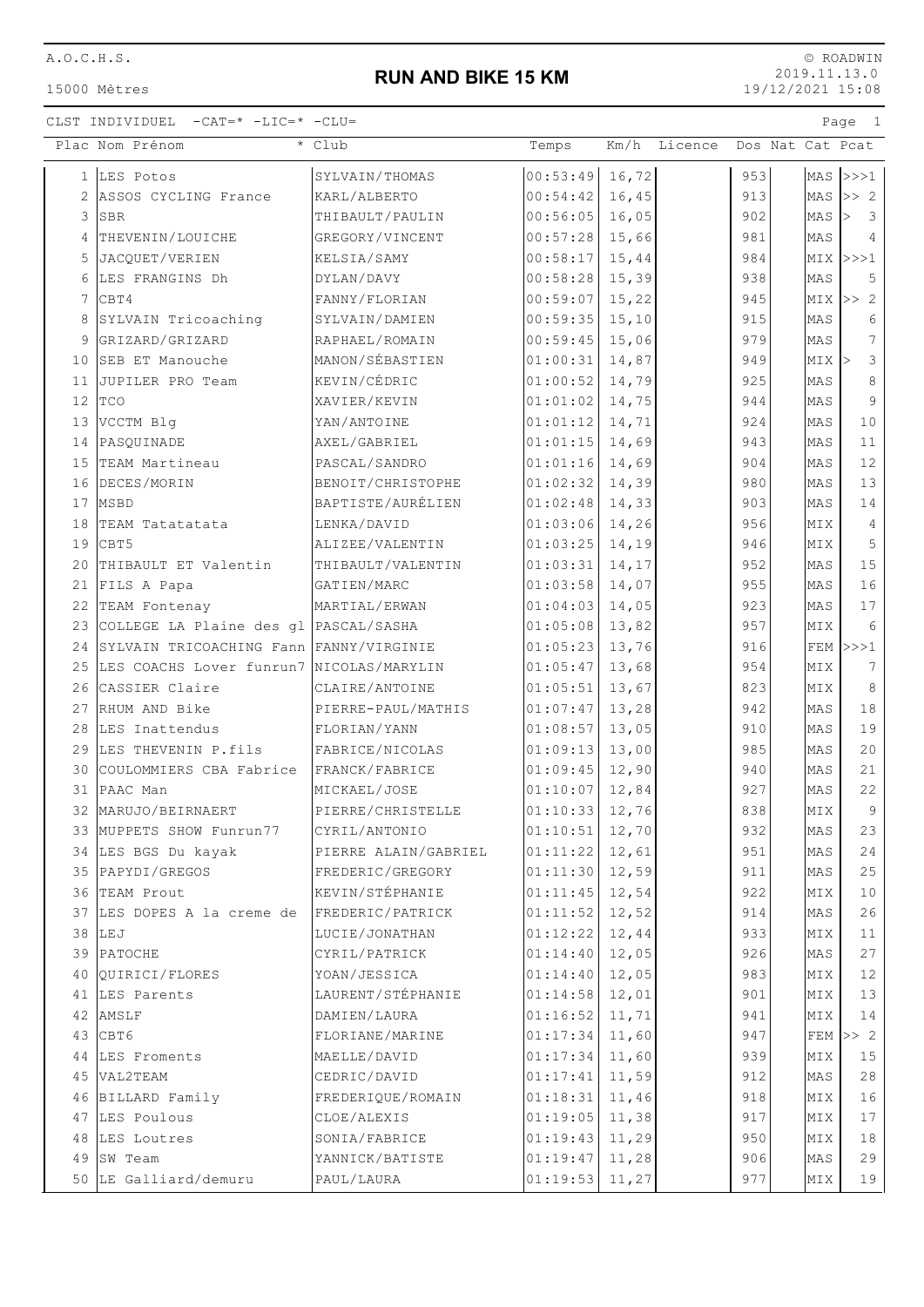A.O.C.H.S.

15000 Mètres

## **RUN AND BIKE 15 KM**

© ROADWIN 2019.11.13.0 19/12/2021 15:08

## CLST INDIVIDUEL -CAT=\* -LIC=\* -CLU= Page 1

|              | Plac Nom Prénom                             | * Club               | Temps              |        | Km/h Licence |     | Dos Nat Cat Pcat |       |                                    |
|--------------|---------------------------------------------|----------------------|--------------------|--------|--------------|-----|------------------|-------|------------------------------------|
| $\mathbf{1}$ | LES Potos                                   | SYLVAIN/THOMAS       | 00:53:49           | 16,72  |              | 953 |                  |       | $MAS$ $>>1$                        |
| 2            | ASSOS CYCLING France                        | KARL/ALBERTO         | 00:54:42           | 16,45  |              | 913 |                  | MAS   | >> 2                               |
| 3            | <b>SBR</b>                                  | THIBAULT/PAULIN      | 00:56:05           | 16,05  |              | 902 |                  | MAS   | $\overline{\mathbf{3}}$<br>$\vert$ |
| 4            | THEVENIN/LOUICHE                            | GREGORY/VINCENT      | 00:57:28           | 15,66  |              | 981 |                  | MAS   | $\overline{4}$                     |
| 5            | JACQUET/VERIEN                              | KELSIA/SAMY          | 00:58:17           | 15,44  |              | 984 |                  |       | $MIX$ >>>1                         |
| 6            | LES FRANGINS Dh                             | DYLAN/DAVY           | 00:58:28           | 15,39  |              | 938 |                  | MAS   | 5                                  |
| 7            | lcbt4                                       | FANNY/FLORIAN        | 00:59:07           | 15,22  |              | 945 |                  |       | $MIX \gg 2$                        |
| 8            | SYLVAIN Tricoaching                         | SYLVAIN/DAMIEN       | 00:59:35           | 15, 10 |              | 915 |                  | MAS   | 6                                  |
| 9            | GRIZARD/GRIZARD                             | RAPHAEL/ROMAIN       | 00:59:45           | 15,06  |              | 979 |                  | MAS   | $7\overline{ }$                    |
| 10           | SEB ET Manouche                             | MANON/SÉBASTIEN      | 01:00:31           | 14,87  |              | 949 |                  | MIX > | $\mathcal{E}$                      |
| 11           | JUPILER PRO Team                            | KEVIN/CÉDRIC         | 01:00:52           | 14,79  |              | 925 |                  | MAS   | 8                                  |
| 12           | <b>TCO</b>                                  | XAVIER/KEVIN         | 01:01:02           | 14,75  |              | 944 |                  | MAS   | 9                                  |
| 13           | VCCTM Blg                                   | YAN/ANTOINE          | 01:01:12           | 14,71  |              | 924 |                  | MAS   | 10                                 |
|              | 14 PASQUINADE                               | AXEL/GABRIEL         | 01:01:15           | 14,69  |              | 943 |                  | MAS   | 11                                 |
|              | 15 TEAM Martineau                           | PASCAL/SANDRO        | 01:01:16           | 14,69  |              | 904 |                  | MAS   | 12                                 |
|              | 16 DECES/MORIN                              | BENOIT/CHRISTOPHE    | 01:02:32           | 14,39  |              | 980 |                  | MAS   | 13                                 |
| 17           | MSBD                                        | BAPTISTE/AURÉLIEN    | 01:02:48           | 14,33  |              | 903 |                  | MAS   | 14                                 |
| 18           | TEAM Tatatatata                             | LENKA/DAVID          | 01:03:06           | 14,26  |              | 956 |                  | MIX   | $\overline{4}$                     |
| 19           | CBT5                                        | ALIZEE/VALENTIN      | 01:03:25           | 14,19  |              | 946 |                  | MIX   | 5                                  |
| 20           | THIBAULT ET Valentin                        | THIBAULT/VALENTIN    | 01:03:31           | 14,17  |              | 952 |                  | MAS   | 15                                 |
| 21           | FILS A Papa                                 | GATIEN/MARC          | 01:03:58           | 14,07  |              | 955 |                  | MAS   | 16                                 |
| 22           | TEAM Fontenay                               | MARTIAL/ERWAN        | 01:04:03           | 14,05  |              | 923 |                  | MAS   | 17                                 |
| 23           | COLLEGE LA Plaine des gl PASCAL/SASHA       |                      | 01:05:08           | 13,82  |              | 957 |                  | MIX   | 6                                  |
| 24           | SYLVAIN TRICOACHING Fann FANNY/VIRGINIE     |                      | 01:05:23           | 13,76  |              | 916 |                  |       | $FEM$ >>>1                         |
|              | 25 LES COACHS Lover funrun7 NICOLAS/MARYLIN |                      | 01:05:47           | 13,68  |              | 954 |                  | MIX   | 7                                  |
|              | 26 CASSIER Claire                           | CLAIRE/ANTOINE       | 01:05:51           | 13,67  |              | 823 |                  | MIX   | 8                                  |
| 27           | RHUM AND Bike                               | PIERRE-PAUL/MATHIS   | 01:07:47           | 13,28  |              | 942 |                  | MAS   | $18\,$                             |
| 28           | LES Inattendus                              | FLORIAN/YANN         | 01:08:57           | 13,05  |              | 910 |                  | MAS   | 19                                 |
| 29           | LES THEVENIN P.fils                         | FABRICE/NICOLAS      | 01:09:13           | 13,00  |              | 985 |                  | MAS   | 20                                 |
| 30           | COULOMMIERS CBA Fabrice                     | FRANCK/FABRICE       | 01:09:45           | 12,90  |              | 940 |                  | MAS   | 21                                 |
| 31           | PAAC Man                                    | MICKAEL/JOSE         | 01:10:07           | 12,84  |              | 927 |                  | MAS   | 22                                 |
| 32           | MARUJO/BEIRNAERT                            | PIERRE/CHRISTELLE    | 01:10:33           | 12,76  |              | 838 |                  | MIX   | $\overline{9}$                     |
|              | 33 MUPPETS SHOW Funrun77                    | CYRIL/ANTONIO        | $ 01:10:51 $ 12,70 |        |              | 932 |                  | MAS   | 23                                 |
|              | 34 LES BGS Du kayak                         | PIERRE ALAIN/GABRIEL | 01:11:22           | 12,61  |              | 951 |                  | MAS   | 24                                 |
|              | 35 PAPYDI/GREGOS                            | FREDERIC/GREGORY     | 01:11:30           | 12,59  |              | 911 |                  | MAS   | 25                                 |
|              | 36 TEAM Prout                               | KEVIN/STÉPHANIE      | 01:11:45           | 12,54  |              | 922 |                  | MIX   | 10                                 |
|              | 37 LES DOPES A la creme de                  | FREDERIC/PATRICK     | 01:11:52           | 12,52  |              | 914 |                  | MAS   | 26                                 |
|              | 38 LEJ                                      | LUCIE/JONATHAN       | 01:12:22           | 12,44  |              | 933 |                  | MIX   | 11                                 |
|              | 39 PATOCHE                                  | CYRIL/PATRICK        | 01:14:40           | 12,05  |              | 926 |                  | MAS   | 27                                 |
|              | 40 QUIRICI/FLORES                           | YOAN/JESSICA         | 01:14:40           | 12,05  |              | 983 |                  | MIX   | 12                                 |
|              | 41 LES Parents                              | LAURENT/STÉPHANIE    | 01:14:58           | 12,01  |              | 901 |                  | MIX   | 13                                 |
|              | 42 AMSLF                                    | DAMIEN/LAURA         | 01:16:52           | 11,71  |              | 941 |                  | MIX   | 14                                 |
|              | 43 CBT6                                     | FLORIANE/MARINE      | 01:17:34           | 11,60  |              | 947 |                  |       | $FEM \gg 2$                        |
|              | 44 LES Froments                             | MAELLE/DAVID         | 01:17:34           | 11,60  |              | 939 |                  | MIX   | 15                                 |
|              | 45 VAL2TEAM                                 | CEDRIC/DAVID         | 01:17:41           | 11,59  |              | 912 |                  | MAS   | 28                                 |
|              | 46 BILLARD Family                           | FREDERIQUE/ROMAIN    | 01:18:31           | 11,46  |              | 918 |                  | MIX   | 16                                 |
|              | 47 LES Poulous                              | CLOE/ALEXIS          | 01:19:05           | 11,38  |              | 917 |                  | MIX   | 17                                 |
|              | 48 LES Loutres                              | SONIA/FABRICE        | 01:19:43           | 11,29  |              | 950 |                  | MIX   | 18                                 |
| 49           | ISW Team                                    | YANNICK/BATISTE      | 01:19:47           | 11,28  |              | 906 |                  | MAS   | 29                                 |
|              | 50 LE Galliard/demuru                       | PAUL/LAURA           | 01:19:53           | 11,27  |              | 977 |                  | MIX   | 19                                 |